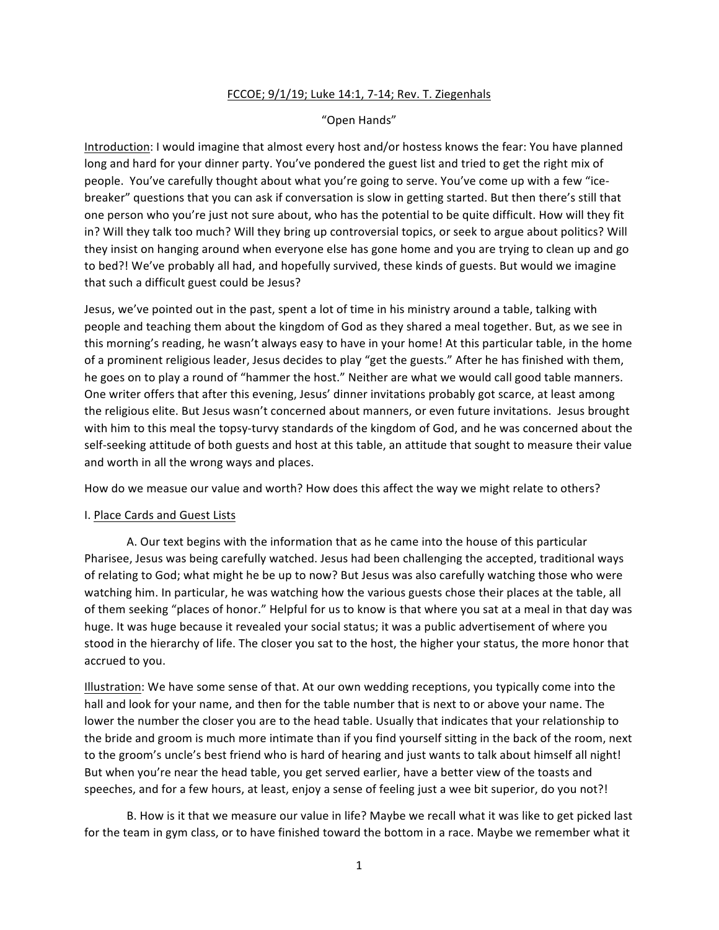## FCCOE; 9/1/19; Luke 14:1, 7-14; Rev. T. Ziegenhals

## "Open Hands"

Introduction: I would imagine that almost every host and/or hostess knows the fear: You have planned long and hard for your dinner party. You've pondered the guest list and tried to get the right mix of people. You've carefully thought about what you're going to serve. You've come up with a few "icebreaker" questions that you can ask if conversation is slow in getting started. But then there's still that one person who you're just not sure about, who has the potential to be quite difficult. How will they fit in? Will they talk too much? Will they bring up controversial topics, or seek to argue about politics? Will they insist on hanging around when everyone else has gone home and you are trying to clean up and go to bed?! We've probably all had, and hopefully survived, these kinds of guests. But would we imagine that such a difficult guest could be Jesus?

Jesus, we've pointed out in the past, spent a lot of time in his ministry around a table, talking with people and teaching them about the kingdom of God as they shared a meal together. But, as we see in this morning's reading, he wasn't always easy to have in your home! At this particular table, in the home of a prominent religious leader, Jesus decides to play "get the guests." After he has finished with them, he goes on to play a round of "hammer the host." Neither are what we would call good table manners. One writer offers that after this evening, Jesus' dinner invitations probably got scarce, at least among the religious elite. But Jesus wasn't concerned about manners, or even future invitations. Jesus brought with him to this meal the topsy-turvy standards of the kingdom of God, and he was concerned about the self-seeking attitude of both guests and host at this table, an attitude that sought to measure their value and worth in all the wrong ways and places.

How do we measue our value and worth? How does this affect the way we might relate to others?

## I. Place Cards and Guest Lists

A. Our text begins with the information that as he came into the house of this particular Pharisee, Jesus was being carefully watched. Jesus had been challenging the accepted, traditional ways of relating to God; what might he be up to now? But Jesus was also carefully watching those who were watching him. In particular, he was watching how the various guests chose their places at the table, all of them seeking "places of honor." Helpful for us to know is that where you sat at a meal in that day was huge. It was huge because it revealed your social status; it was a public advertisement of where you stood in the hierarchy of life. The closer you sat to the host, the higher your status, the more honor that accrued to you.

Illustration: We have some sense of that. At our own wedding receptions, you typically come into the hall and look for your name, and then for the table number that is next to or above your name. The lower the number the closer you are to the head table. Usually that indicates that your relationship to the bride and groom is much more intimate than if you find yourself sitting in the back of the room, next to the groom's uncle's best friend who is hard of hearing and just wants to talk about himself all night! But when you're near the head table, you get served earlier, have a better view of the toasts and speeches, and for a few hours, at least, enjoy a sense of feeling just a wee bit superior, do you not?!

B. How is it that we measure our value in life? Maybe we recall what it was like to get picked last for the team in gym class, or to have finished toward the bottom in a race. Maybe we remember what it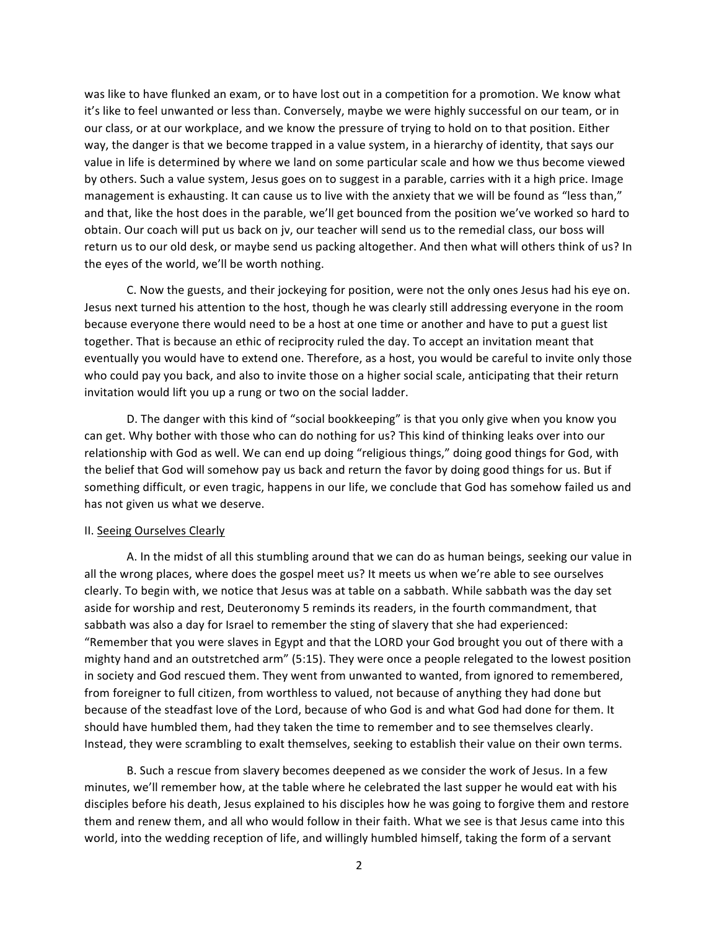was like to have flunked an exam, or to have lost out in a competition for a promotion. We know what it's like to feel unwanted or less than. Conversely, maybe we were highly successful on our team, or in our class, or at our workplace, and we know the pressure of trying to hold on to that position. Either way, the danger is that we become trapped in a value system, in a hierarchy of identity, that says our value in life is determined by where we land on some particular scale and how we thus become viewed by others. Such a value system, Jesus goes on to suggest in a parable, carries with it a high price. Image management is exhausting. It can cause us to live with the anxiety that we will be found as "less than," and that, like the host does in the parable, we'll get bounced from the position we've worked so hard to obtain. Our coach will put us back on jv, our teacher will send us to the remedial class, our boss will return us to our old desk, or maybe send us packing altogether. And then what will others think of us? In the eyes of the world, we'll be worth nothing.

C. Now the guests, and their jockeying for position, were not the only ones Jesus had his eye on. Jesus next turned his attention to the host, though he was clearly still addressing everyone in the room because everyone there would need to be a host at one time or another and have to put a guest list together. That is because an ethic of reciprocity ruled the day. To accept an invitation meant that eventually you would have to extend one. Therefore, as a host, you would be careful to invite only those who could pay you back, and also to invite those on a higher social scale, anticipating that their return invitation would lift you up a rung or two on the social ladder.

D. The danger with this kind of "social bookkeeping" is that you only give when you know you can get. Why bother with those who can do nothing for us? This kind of thinking leaks over into our relationship with God as well. We can end up doing "religious things," doing good things for God, with the belief that God will somehow pay us back and return the favor by doing good things for us. But if something difficult, or even tragic, happens in our life, we conclude that God has somehow failed us and has not given us what we deserve.

## II. Seeing Ourselves Clearly

A. In the midst of all this stumbling around that we can do as human beings, seeking our value in all the wrong places, where does the gospel meet us? It meets us when we're able to see ourselves clearly. To begin with, we notice that Jesus was at table on a sabbath. While sabbath was the day set aside for worship and rest, Deuteronomy 5 reminds its readers, in the fourth commandment, that sabbath was also a day for Israel to remember the sting of slavery that she had experienced: "Remember that you were slaves in Egypt and that the LORD your God brought you out of there with a mighty hand and an outstretched arm" (5:15). They were once a people relegated to the lowest position in society and God rescued them. They went from unwanted to wanted, from ignored to remembered, from foreigner to full citizen, from worthless to valued, not because of anything they had done but because of the steadfast love of the Lord, because of who God is and what God had done for them. It should have humbled them, had they taken the time to remember and to see themselves clearly. Instead, they were scrambling to exalt themselves, seeking to establish their value on their own terms.

B. Such a rescue from slavery becomes deepened as we consider the work of Jesus. In a few minutes, we'll remember how, at the table where he celebrated the last supper he would eat with his disciples before his death, Jesus explained to his disciples how he was going to forgive them and restore them and renew them, and all who would follow in their faith. What we see is that Jesus came into this world, into the wedding reception of life, and willingly humbled himself, taking the form of a servant